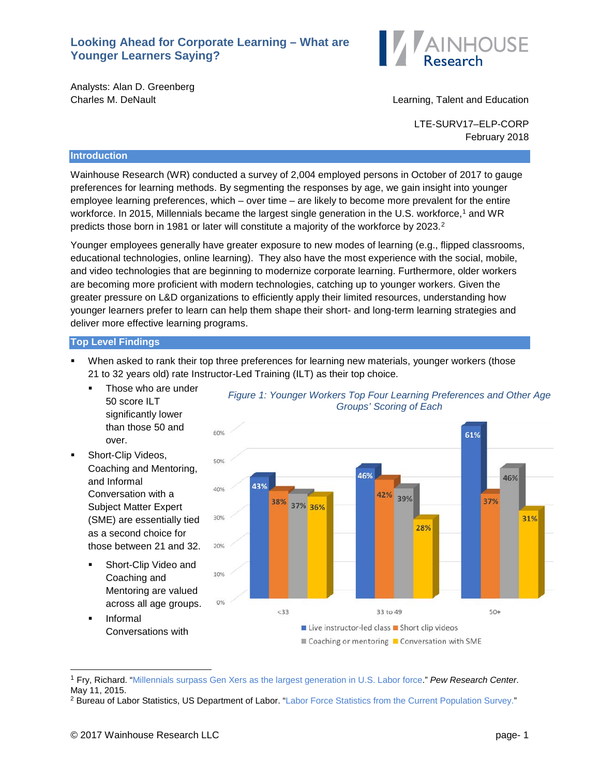## **Looking Ahead for Corporate Learning – What are Younger Learners Saying?**



Analysts: Alan D. Greenberg

Charles M. DeNault Learning, Talent and Education

LTE-SURV17–ELP-CORP February 2018

## **Introduction**

Wainhouse Research (WR) conducted a survey of 2,004 employed persons in October of 2017 to gauge preferences for learning methods. By segmenting the responses by age, we gain insight into younger employee learning preferences, which – over time – are likely to become more prevalent for the entire workforce. In 20[1](#page-0-0)5, Millennials became the largest single generation in the U.S. workforce,<sup>1</sup> and WR predicts those born in 1981 or later will constitute a majority of the workforce by [2](#page-0-1)023.<sup>2</sup>

Younger employees generally have greater exposure to new modes of learning (e.g., flipped classrooms, educational technologies, online learning). They also have the most experience with the social, mobile, and video technologies that are beginning to modernize corporate learning. Furthermore, older workers are becoming more proficient with modern technologies, catching up to younger workers. Given the greater pressure on L&D organizations to efficiently apply their limited resources, understanding how younger learners prefer to learn can help them shape their short- and long-term learning strategies and deliver more effective learning programs.

## **Top Level Findings**

- When asked to rank their top three preferences for learning new materials, younger workers (those 21 to 32 years old) rate Instructor-Led Training (ILT) as their top choice.
	- Those who are under 50 score ILT significantly lower than those 50 and over.
- Short-Clip Videos, Coaching and Mentoring, and Informal Conversation with a Subject Matter Expert (SME) are essentially tied as a second choice for those between 21 and 32.
	- **Short-Clip Video and** Coaching and Mentoring are valued across all age groups.
	- Informal Conversations with



*Figure 1: Younger Workers Top Four Learning Preferences and Other Age* 

<span id="page-0-0"></span> <sup>1</sup> Fry, Richard. ["Millennials surpass Gen Xers as the largest generation in U.S. Labor force.](http://www.pewresearch.org/fact-tank/2015/05/11/millennials-surpass-gen-xers-as-the-largest-generation-in-u-s-labor-force/)" *Pew Research Center*. May 11, 2015.

<span id="page-0-1"></span><sup>&</sup>lt;sup>2</sup> Bureau of Labor Statistics, US Department of Labor. ["Labor Force Statistics from the Current Population Survey."](https://www.bls.gov/cps/cpsaat18b.htm)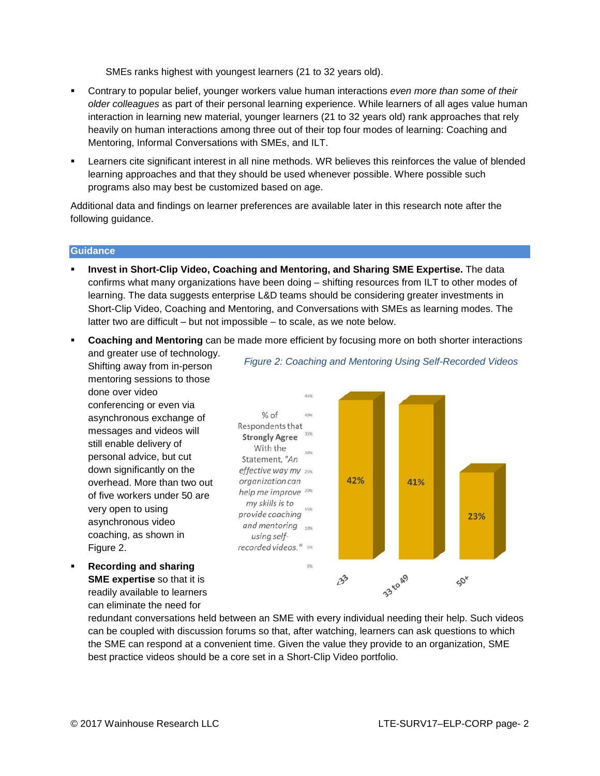SMEs ranks highest with youngest learners (21 to 32 years old).

- Contrary to popular belief, younger workers value human interactions *even more than some of their older colleagues* as part of their personal learning experience. While learners of all ages value human interaction in learning new material, younger learners (21 to 32 years old) rank approaches that rely heavily on human interactions among three out of their top four modes of learning: Coaching and Mentoring, Informal Conversations with SMEs, and ILT.
- Learners cite significant interest in all nine methods. WR believes this reinforces the value of blended learning approaches and that they should be used whenever possible. Where possible such programs also may best be customized based on age.

Additional data and findings on learner preferences are available later in this research note after the following guidance.

#### **Guidance**

- **Invest in Short-Clip Video, Coaching and Mentoring, and Sharing SME Expertise.** The data confirms what many organizations have been doing – shifting resources from ILT to other modes of learning. The data suggests enterprise L&D teams should be considering greater investments in Short-Clip Video, Coaching and Mentoring, and Conversations with SMEs as learning modes. The latter two are difficult – but not impossible – to scale, as we note below.
- **Coaching and Mentoring** can be made more efficient by focusing more on both shorter interactions
	- and greater use of technology. Shifting away from in-person mentoring sessions to those done over video conferencing or even via asynchronous exchange of messages and videos will still enable delivery of personal advice, but cut down significantly on the overhead. More than two out of five workers under 50 are very open to using asynchronous video coaching, as shown in Figure 2.
- **Recording and sharing SME expertise** so that it is readily available to learners can eliminate the need for

*Figure 2: Coaching and Mentoring Using Self-Recorded Videos* 



redundant conversations held between an SME with every individual needing their help. Such videos can be coupled with discussion forums so that, after watching, learners can ask questions to which the SME can respond at a convenient time. Given the value they provide to an organization, SME best practice videos should be a core set in a Short-Clip Video portfolio.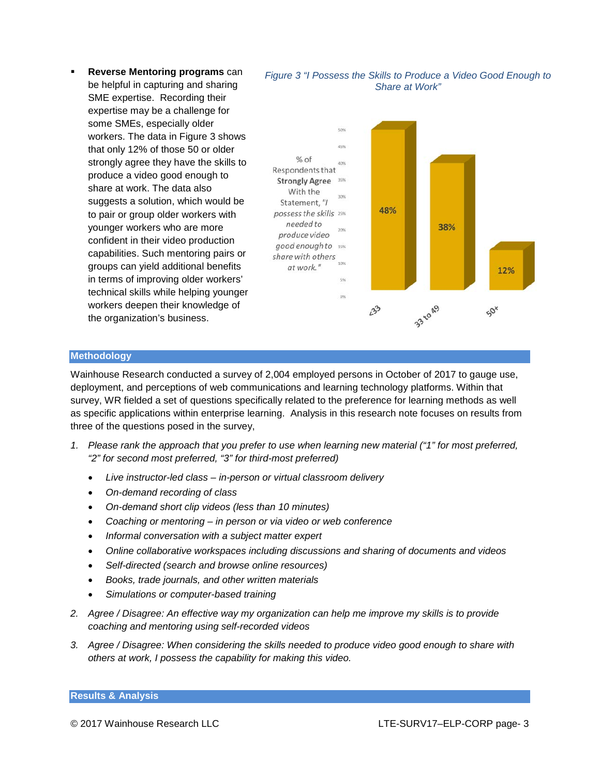**Reverse Mentoring programs** can be helpful in capturing and sharing SME expertise. Recording their expertise may be a challenge for some SMEs, especially older workers. The data in Figure 3 shows that only 12% of those 50 or older strongly agree they have the skills to produce a video good enough to share at work. The data also suggests a solution, which would be to pair or group older workers with younger workers who are more confident in their video production capabilities. Such mentoring pairs or groups can yield additional benefits in terms of improving older workers' technical skills while helping younger workers deepen their knowledge of the organization's business.





### **Methodology**

Wainhouse Research conducted a survey of 2,004 employed persons in October of 2017 to gauge use, deployment, and perceptions of web communications and learning technology platforms. Within that survey, WR fielded a set of questions specifically related to the preference for learning methods as well as specific applications within enterprise learning. Analysis in this research note focuses on results from three of the questions posed in the survey,

- *1. Please rank the approach that you prefer to use when learning new material ("1" for most preferred, "2" for second most preferred, "3" for third-most preferred)*
	- *Live instructor-led class – in-person or virtual classroom delivery*
	- *On-demand recording of class*
	- *On-demand short clip videos (less than 10 minutes)*
	- *Coaching or mentoring – in person or via video or web conference*
	- *Informal conversation with a subject matter expert*
	- *Online collaborative workspaces including discussions and sharing of documents and videos*
	- *Self-directed (search and browse online resources)*
	- *Books, trade journals, and other written materials*
	- *Simulations or computer-based training*
- *2. Agree / Disagree: An effective way my organization can help me improve my skills is to provide coaching and mentoring using self-recorded videos*
- *3. Agree / Disagree: When considering the skills needed to produce video good enough to share with others at work, I possess the capability for making this video.*

#### **Results & Analysis**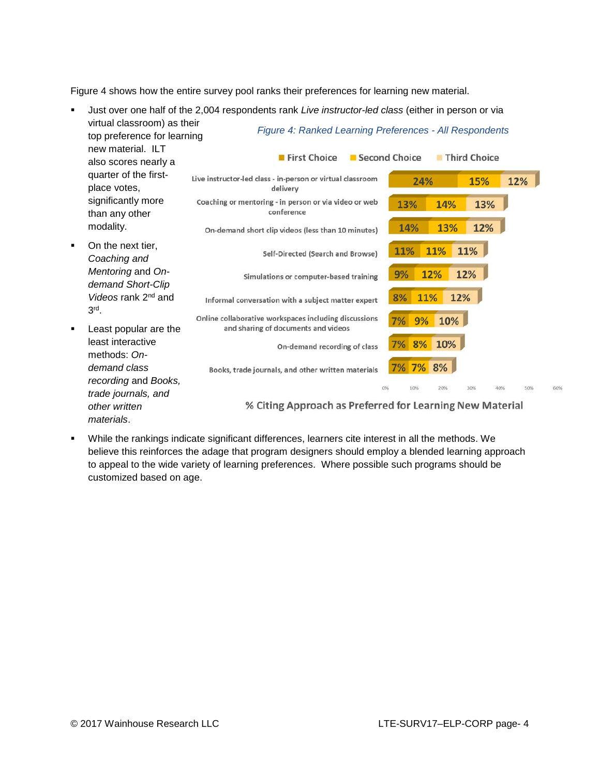Figure 4 shows how the entire survey pool ranks their preferences for learning new material.



 While the rankings indicate significant differences, learners cite interest in all the methods. We believe this reinforces the adage that program designers should employ a blended learning approach to appeal to the wide variety of learning preferences. Where possible such programs should be customized based on age.

60%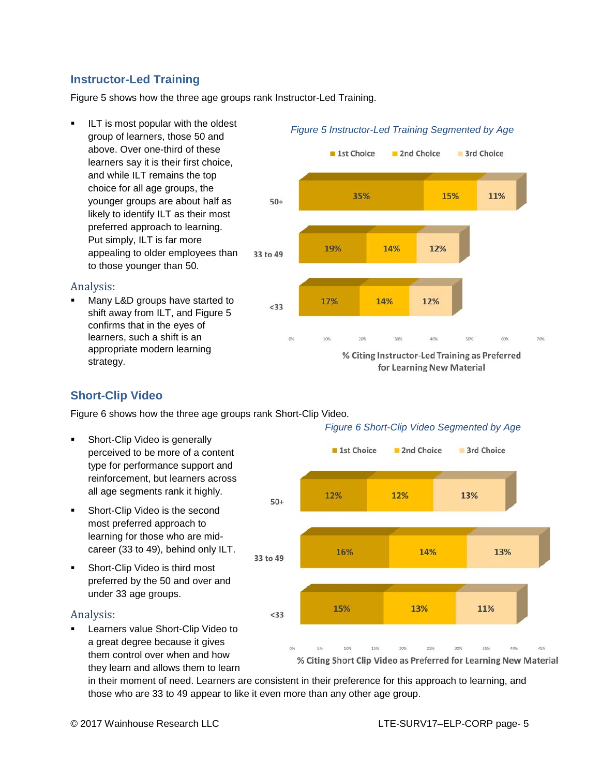# **Instructor-Led Training**

Figure 5 shows how the three age groups rank Instructor-Led Training.

 ILT is most popular with the oldest group of learners, those 50 and above. Over one-third of these learners say it is their first choice, and while ILT remains the top choice for all age groups, the younger groups are about half as likely to identify ILT as their most preferred approach to learning. Put simply, ILT is far more appealing to older employees than 33 to 49 to those younger than 50.

## Analysis:

 Many L&D groups have started to shift away from ILT, and Figure 5 confirms that in the eyes of learners, such a shift is an appropriate modern learning strategy.

# 1st Choice 2nd Choice 3rd Choice 35% 15% 11%  $50+$ 14% 19% 12% 17% 14% 12%  $< 33$

% Citing Instructor-Led Training as Preferred for Learning New Material

# **Short-Clip Video**

Figure 6 shows how the three age groups rank Short-Clip Video.

- Short-Clip Video is generally perceived to be more of a content type for performance support and reinforcement, but learners across all age segments rank it highly.
- Short-Clip Video is the second most preferred approach to learning for those who are midcareer (33 to 49), behind only ILT.
- Short-Clip Video is third most preferred by the 50 and over and under 33 age groups.

## Analysis:

 Learners value Short-Clip Video to a great degree because it gives them control over when and how they learn and allows them to learn

## *Figure 6 Short-Clip Video Segmented by Age*



in their moment of need. Learners are consistent in their preference for this approach to learning, and those who are 33 to 49 appear to like it even more than any other age group.

© 2017 Wainhouse Research LLC LTE-SURV17–ELP-CORP page- 5

# *Figure 5 Instructor-Led Training Segmented by Age*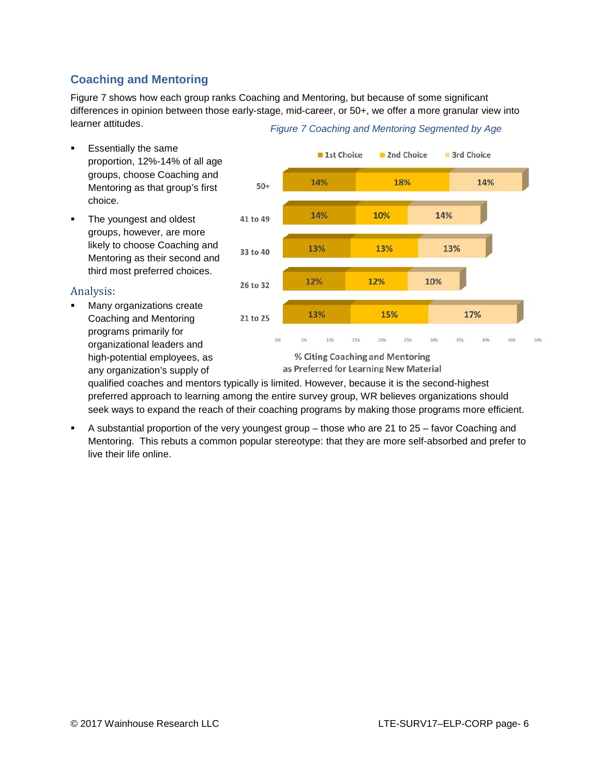# **Coaching and Mentoring**

Figure 7 shows how each group ranks Coaching and Mentoring, but because of some significant differences in opinion between those early-stage, mid-career, or 50+, we offer a more granular view into learner attitudes. *Figure 7 Coaching and Mentoring Segmented by Age*

- Essentially the same proportion, 12%-14% of all age groups, choose Coaching and Mentoring as that group's first choice.
- The youngest and oldest groups, however, are more likely to choose Coaching and Mentoring as their second and third most preferred choices.

## Analysis:

 Many organizations create Coaching and Mentoring programs primarily for organizational leaders and high-potential employees, as any organization's supply of



as Preferred for Learning New Material

qualified coaches and mentors typically is limited. However, because it is the second-highest preferred approach to learning among the entire survey group, WR believes organizations should seek ways to expand the reach of their coaching programs by making those programs more efficient.

 A substantial proportion of the very youngest group – those who are 21 to 25 – favor Coaching and Mentoring. This rebuts a common popular stereotype: that they are more self-absorbed and prefer to live their life online.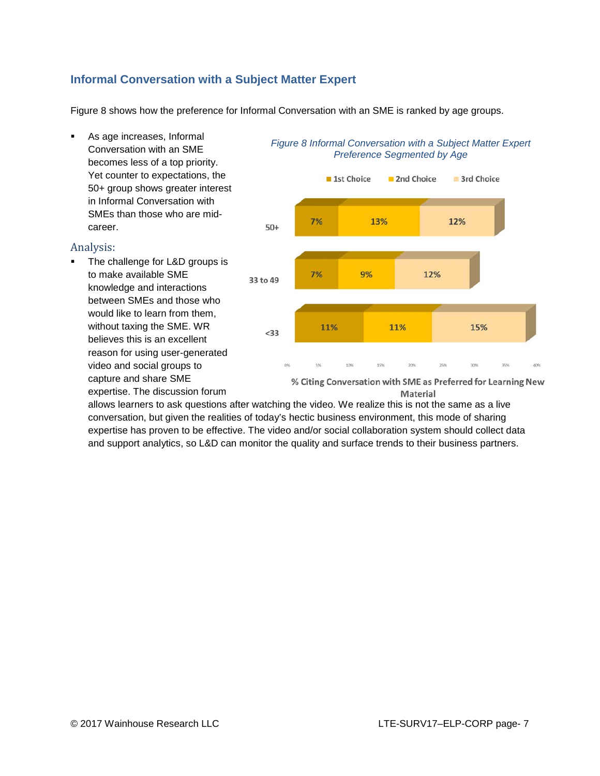# **Informal Conversation with a Subject Matter Expert**

Figure 8 shows how the preference for Informal Conversation with an SME is ranked by age groups.

 As age increases, Informal Conversation with an SME becomes less of a top priority. Yet counter to expectations, the 50+ group shows greater interest in Informal Conversation with SMEs than those who are midcareer.

## Analysis:

 The challenge for L&D groups is to make available SME knowledge and interactions between SMEs and those who would like to learn from them, without taxing the SME. WR believes this is an excellent reason for using user-generated video and social groups to capture and share SME expertise. The discussion forum



## *Figure 8 Informal Conversation with a Subject Matter Expert Preference Segmented by Age*

% Citing Conversation with SME as Preferred for Learning New Material

allows learners to ask questions after watching the video. We realize this is not the same as a live conversation, but given the realities of today's hectic business environment, this mode of sharing expertise has proven to be effective. The video and/or social collaboration system should collect data and support analytics, so L&D can monitor the quality and surface trends to their business partners.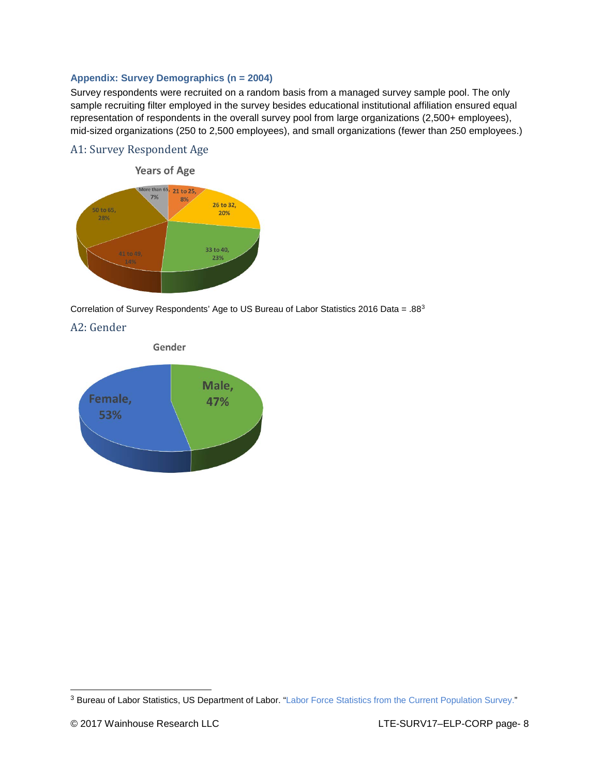## **Appendix: Survey Demographics (n = 2004)**

Survey respondents were recruited on a random basis from a managed survey sample pool. The only sample recruiting filter employed in the survey besides educational institutional affiliation ensured equal representation of respondents in the overall survey pool from large organizations (2,500+ employees), mid-sized organizations (250 to 2,500 employees), and small organizations (fewer than 250 employees.)

## A1: Survey Respondent Age



Correlation of Survey Respondents' Age to US Bureau of Labor Statistics 2016 Data = .8[83](#page-7-0)





<span id="page-7-0"></span><sup>&</sup>lt;sup>3</sup> Bureau of Labor Statistics, US Department of Labor. ["Labor Force Statistics from the Current Population Survey."](https://www.bls.gov/cps/cpsaat18b.htm)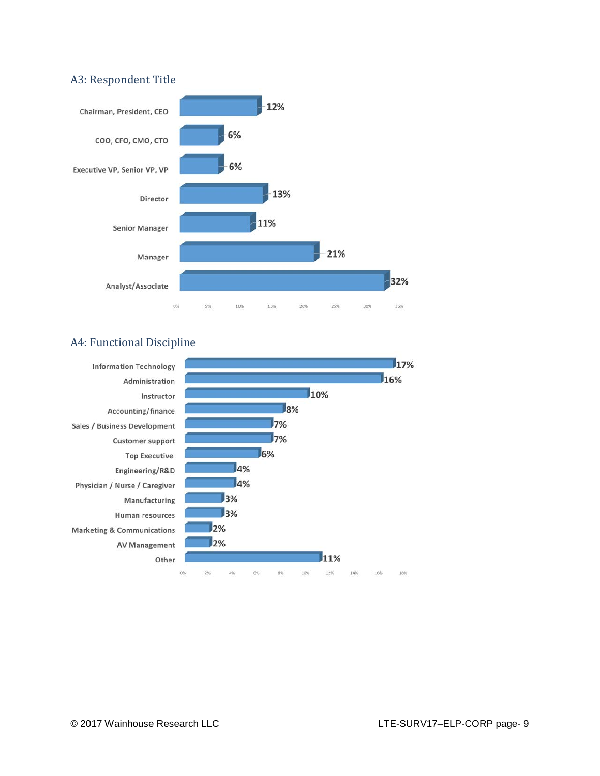## A3: Respondent Title



# A4: Functional Discipline

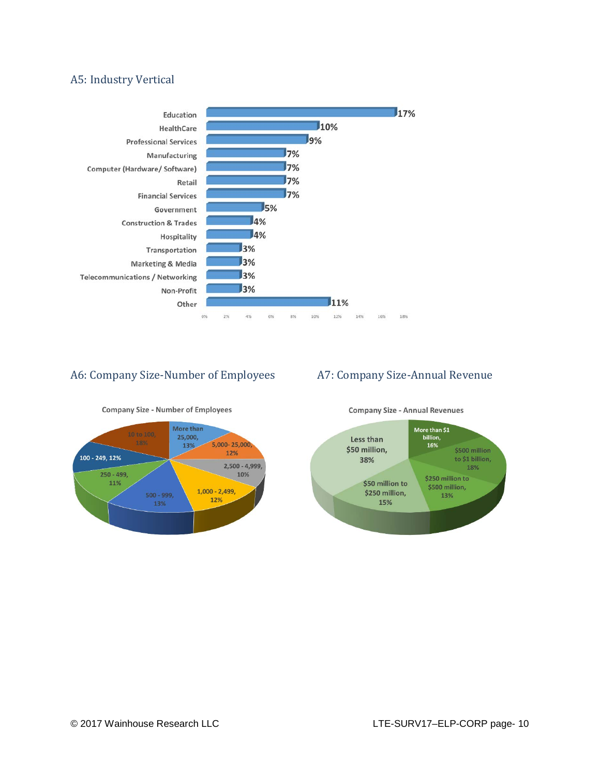# A5: Industry Vertical



# A6: Company Size-Number of Employees A7: Company Size-Annual Revenue





**Company Size - Annual Revenues**